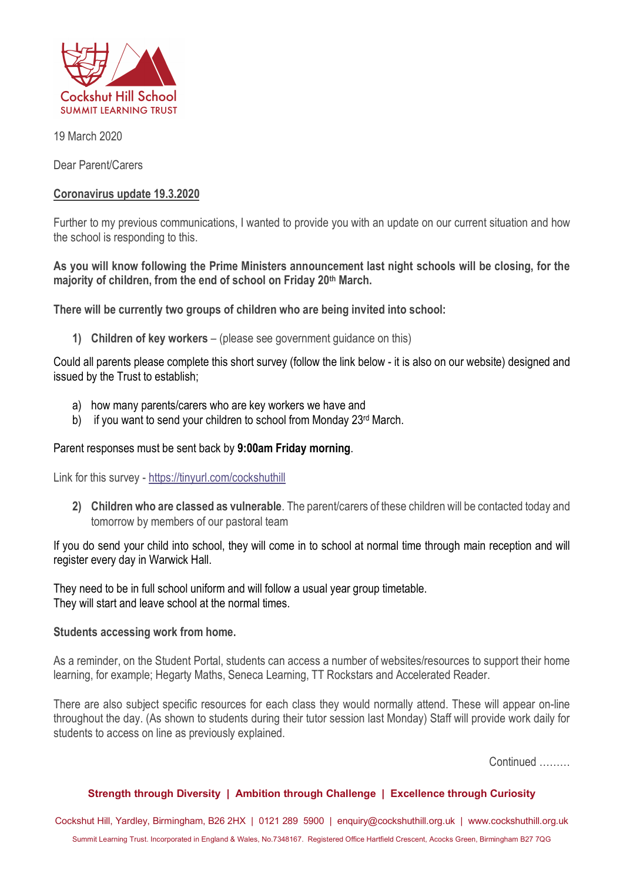

19 March 2020

Dear Parent/Carers

# **Coronavirus update 19.3.2020**

Further to my previous communications, I wanted to provide you with an update on our current situation and how the school is responding to this.

## **As you will know following the Prime Ministers announcement last night schools will be closing, for the majority of children, from the end of school on Friday 20th March.**

**There will be currently two groups of children who are being invited into school:**

**1) Children of key workers** – (please see government guidance on this)

Could all parents please complete this short survey (follow the link below - it is also on our website) designed and issued by the Trust to establish;

- a) how many parents/carers who are key workers we have and
- b) if you want to send your children to school from Monday 23<sup>rd</sup> March.

# Parent responses must be sent back by **9:00am Friday morning**.

Link for this survey - https://tinyurl.com/cockshuthill

**2) Children who are classed as vulnerable**. The parent/carers of these children will be contacted today and tomorrow by members of our pastoral team

If you do send your child into school, they will come in to school at normal time through main reception and will register every day in Warwick Hall.

They need to be in full school uniform and will follow a usual year group timetable. They will start and leave school at the normal times.

### **Students accessing work from home.**

As a reminder, on the Student Portal, students can access a number of websites/resources to support their home learning, for example; Hegarty Maths, Seneca Learning, TT Rockstars and Accelerated Reader.

There are also subject specific resources for each class they would normally attend. These will appear on-line throughout the day. (As shown to students during their tutor session last Monday) Staff will provide work daily for students to access on line as previously explained.

Continued ………

### **Strength through Diversity | Ambition through Challenge | Excellence through Curiosity**

Cockshut Hill, Yardley, Birmingham, B26 2HX | 0121 289 5900 | enquiry@cockshuthill.org.uk | www.cockshuthill.org.uk Summit Learning Trust. Incorporated in England & Wales, No.7348167. Registered Office Hartfield Crescent, Acocks Green, Birmingham B27 7QG